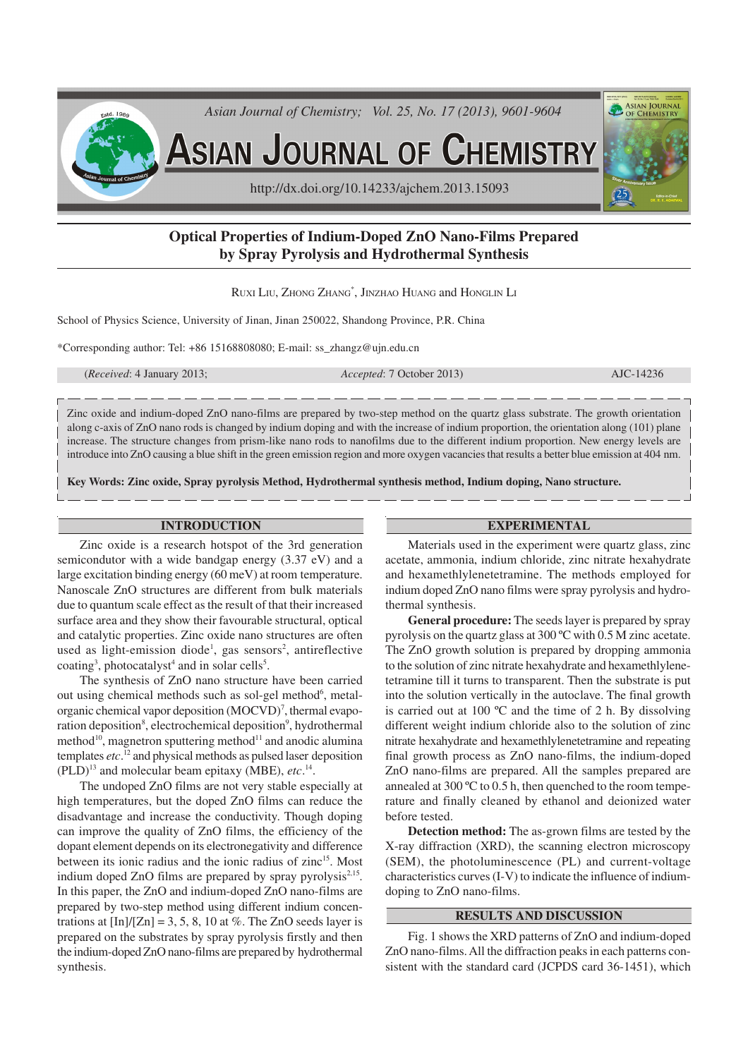

# **Optical Properties of Indium-Doped ZnO Nano-Films Prepared by Spray Pyrolysis and Hydrothermal Synthesis**

RUXI LIU, ZHONG ZHANG\* , JINZHAO HUANG and HONGLIN L<sup>I</sup>

School of Physics Science, University of Jinan, Jinan 250022, Shandong Province, P.R. China

\*Corresponding author: Tel: +86 15168808080; E-mail: ss\_zhangz@ujn.edu.cn

(*Received*: 4 January 2013; *Accepted*: 7 October 2013) AJC-14236

Zinc oxide and indium-doped ZnO nano-films are prepared by two-step method on the quartz glass substrate. The growth orientation along c-axis of ZnO nano rods is changed by indium doping and with the increase of indium proportion, the orientation along (101) plane increase. The structure changes from prism-like nano rods to nanofilms due to the different indium proportion. New energy levels are introduce into ZnO causing a blue shift in the green emission region and more oxygen vacancies that results a better blue emission at 404 nm.

**Key Words: Zinc oxide, Spray pyrolysis Method, Hydrothermal synthesis method, Indium doping, Nano structure.**

#### **INTRODUCTION**

Zinc oxide is a research hotspot of the 3rd generation semicondutor with a wide bandgap energy (3.37 eV) and a large excitation binding energy (60 meV) at room temperature. Nanoscale ZnO structures are different from bulk materials due to quantum scale effect as the result of that their increased surface area and they show their favourable structural, optical and catalytic properties. Zinc oxide nano structures are often used as light-emission diode<sup>1</sup>, gas sensors<sup>2</sup>, antireflective coating<sup>3</sup>, photocatalyst<sup>4</sup> and in solar cells<sup>5</sup>.

The synthesis of ZnO nano structure have been carried out using chemical methods such as sol-gel method<sup>6</sup>, metalorganic chemical vapor deposition (MOCVD)<sup>7</sup>, thermal evaporation deposition<sup>8</sup>, electrochemical deposition<sup>9</sup>, hydrothermal method<sup>10</sup>, magnetron sputtering method<sup>11</sup> and anodic alumina templates *etc*. <sup>12</sup> and physical methods as pulsed laser deposition  $(PLD)^{13}$  and molecular beam epitaxy (MBE), *etc*.<sup>14</sup>.

The undoped ZnO films are not very stable especially at high temperatures, but the doped ZnO films can reduce the disadvantage and increase the conductivity. Though doping can improve the quality of ZnO films, the efficiency of the dopant element depends on its electronegativity and difference between its ionic radius and the ionic radius of zinc<sup>15</sup>. Most indium doped ZnO films are prepared by spray pyrolysis<sup>2,15</sup>. In this paper, the ZnO and indium-doped ZnO nano-films are prepared by two-step method using different indium concentrations at  $[\ln]/[\text{Zn}] = 3, 5, 8, 10$  at %. The ZnO seeds layer is prepared on the substrates by spray pyrolysis firstly and then the indium-doped ZnO nano-films are prepared by hydrothermal synthesis.

# **EXPERIMENTAL**

Materials used in the experiment were quartz glass, zinc acetate, ammonia, indium chloride, zinc nitrate hexahydrate and hexamethlylenetetramine. The methods employed for indium doped ZnO nano films were spray pyrolysis and hydrothermal synthesis.

**General procedure:** The seeds layer is prepared by spray pyrolysis on the quartz glass at 300 ºC with 0.5 M zinc acetate. The ZnO growth solution is prepared by dropping ammonia to the solution of zinc nitrate hexahydrate and hexamethlylenetetramine till it turns to transparent. Then the substrate is put into the solution vertically in the autoclave. The final growth is carried out at 100 ºC and the time of 2 h. By dissolving different weight indium chloride also to the solution of zinc nitrate hexahydrate and hexamethlylenetetramine and repeating final growth process as ZnO nano-films, the indium-doped ZnO nano-films are prepared. All the samples prepared are annealed at 300 ºC to 0.5 h, then quenched to the room temperature and finally cleaned by ethanol and deionized water before tested.

**Detection method:** The as-grown films are tested by the X-ray diffraction (XRD), the scanning electron microscopy (SEM), the photoluminescence (PL) and current-voltage characteristics curves (I-V) to indicate the influence of indiumdoping to ZnO nano-films.

## **RESULTS AND DISCUSSION**

Fig. 1 shows the XRD patterns of ZnO and indium-doped ZnO nano-films. All the diffraction peaks in each patterns consistent with the standard card (JCPDS card 36-1451), which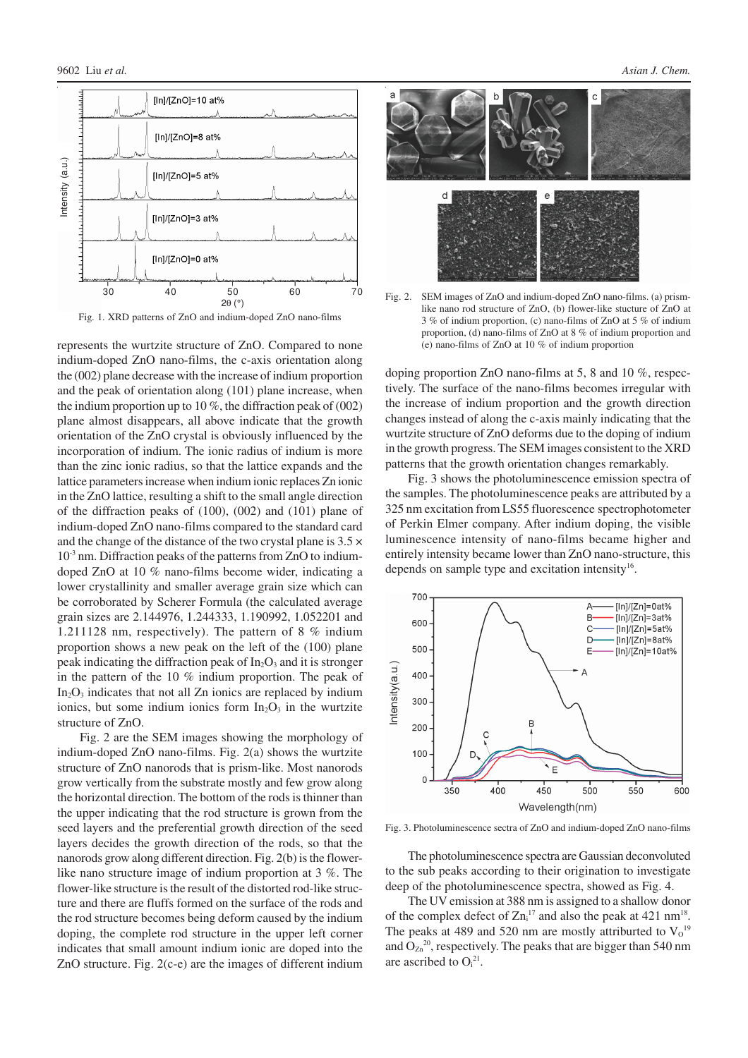

Fig. 1. XRD patterns of ZnO and indium-doped ZnO nano-films

represents the wurtzite structure of ZnO. Compared to none indium-doped ZnO nano-films, the c-axis orientation along the (002) plane decrease with the increase of indium proportion and the peak of orientation along (101) plane increase, when the indium proportion up to 10  $\%$ , the diffraction peak of (002) plane almost disappears, all above indicate that the growth orientation of the ZnO crystal is obviously influenced by the incorporation of indium. The ionic radius of indium is more than the zinc ionic radius, so that the lattice expands and the lattice parameters increase when indium ionic replaces Zn ionic in the ZnO lattice, resulting a shift to the small angle direction of the diffraction peaks of (100), (002) and (101) plane of indium-doped ZnO nano-films compared to the standard card and the change of the distance of the two crystal plane is  $3.5 \times$  $10<sup>3</sup>$  nm. Diffraction peaks of the patterns from ZnO to indiumdoped ZnO at 10 % nano-films become wider, indicating a lower crystallinity and smaller average grain size which can be corroborated by Scherer Formula (the calculated average grain sizes are 2.144976, 1.244333, 1.190992, 1.052201 and 1.211128 nm, respectively). The pattern of 8 % indium proportion shows a new peak on the left of the (100) plane peak indicating the diffraction peak of  $In_2O_3$  and it is stronger in the pattern of the 10 % indium proportion. The peak of In<sub>2</sub>O<sub>3</sub> indicates that not all Zn ionics are replaced by indium ionics, but some indium ionics form  $In<sub>2</sub>O<sub>3</sub>$  in the wurtzite structure of ZnO.

Fig. 2 are the SEM images showing the morphology of indium-doped ZnO nano-films. Fig. 2(a) shows the wurtzite structure of ZnO nanorods that is prism-like. Most nanorods grow vertically from the substrate mostly and few grow along the horizontal direction. The bottom of the rods is thinner than the upper indicating that the rod structure is grown from the seed layers and the preferential growth direction of the seed layers decides the growth direction of the rods, so that the nanorods grow along different direction. Fig. 2(b) is the flowerlike nano structure image of indium proportion at 3 %. The flower-like structure is the result of the distorted rod-like structure and there are fluffs formed on the surface of the rods and the rod structure becomes being deform caused by the indium doping, the complete rod structure in the upper left corner indicates that small amount indium ionic are doped into the ZnO structure. Fig. 2(c-e) are the images of different indium



Fig. 2. SEM images of ZnO and indium-doped ZnO nano-films. (a) prismlike nano rod structure of ZnO, (b) flower-like stucture of ZnO at 3 % of indium proportion, (c) nano-films of ZnO at 5 % of indium proportion, (d) nano-films of ZnO at 8 % of indium proportion and (e) nano-films of ZnO at 10 % of indium proportion

doping proportion ZnO nano-films at 5, 8 and 10 %, respectively. The surface of the nano-films becomes irregular with the increase of indium proportion and the growth direction changes instead of along the c-axis mainly indicating that the wurtzite structure of ZnO deforms due to the doping of indium in the growth progress. The SEM images consistent to the XRD patterns that the growth orientation changes remarkably.

Fig. 3 shows the photoluminescence emission spectra of the samples. The photoluminescence peaks are attributed by a 325 nm excitation from LS55 fluorescence spectrophotometer of Perkin Elmer company. After indium doping, the visible luminescence intensity of nano-films became higher and entirely intensity became lower than ZnO nano-structure, this depends on sample type and excitation intensity $16$ .



Fig. 3. Photoluminescence sectra of ZnO and indium-doped ZnO nano-films

The photoluminescence spectra are Gaussian deconvoluted to the sub peaks according to their origination to investigate deep of the photoluminescence spectra, showed as Fig. 4.

The UV emission at 388 nm is assigned to a shallow donor of the complex defect of  $\text{Zn}_i^{17}$  and also the peak at 421 nm<sup>18</sup>. The peaks at 489 and 520 nm are mostly attriburted to  $V_0^{19}$ and  $O_{\text{Zn}}^{20}$ , respectively. The peaks that are bigger than 540 nm are ascribed to  $O_i^{21}$ .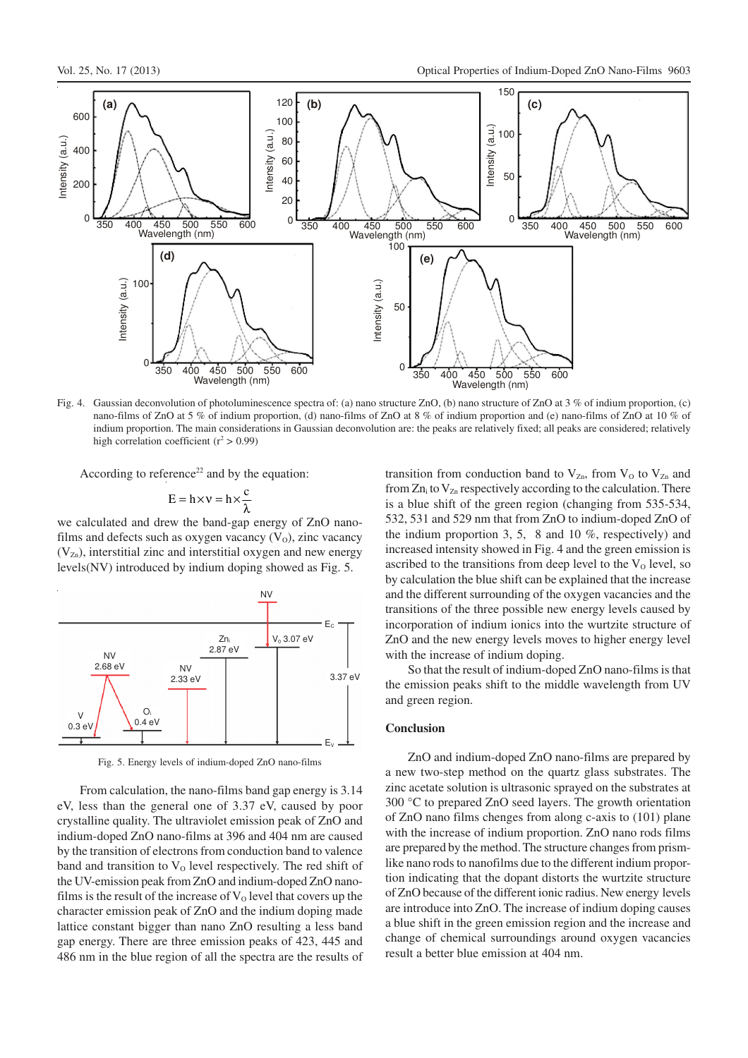

Fig. 4. Gaussian deconvolution of photoluminescence spectra of: (a) nano structure ZnO, (b) nano structure of ZnO at 3 % of indium proportion, (c) nano-films of ZnO at 5 % of indium proportion, (d) nano-films of ZnO at 8 % of indium proportion and (e) nano-films of ZnO at 10 % of indium proportion. The main considerations in Gaussian deconvolution are: the peaks are relatively fixed; all peaks are considered; relatively high correlation coefficient ( $r^2 > 0.99$ )

According to reference<sup>22</sup> and by the equation:

$$
E = h \times v = h \times \frac{c}{\lambda}
$$

we calculated and drew the band-gap energy of ZnO nanofilms and defects such as oxygen vacancy  $(V_0)$ , zinc vacancy  $(V_{Zn})$ , interstitial zinc and interstitial oxygen and new energy levels(NV) introduced by indium doping showed as Fig. 5.



Fig. 5. Energy levels of indium-doped ZnO nano-films

From calculation, the nano-films band gap energy is 3.14 eV, less than the general one of 3.37 eV, caused by poor crystalline quality. The ultraviolet emission peak of ZnO and indium-doped ZnO nano-films at 396 and 404 nm are caused by the transition of electrons from conduction band to valence band and transition to  $V_0$  level respectively. The red shift of the UV-emission peak from ZnO and indium-doped ZnO nanofilms is the result of the increase of  $V_0$  level that covers up the character emission peak of ZnO and the indium doping made lattice constant bigger than nano ZnO resulting a less band gap energy. There are three emission peaks of 423, 445 and 486 nm in the blue region of all the spectra are the results of transition from conduction band to  $V_{Zn}$ , from  $V_0$  to  $V_{Zn}$  and from  $Zn_i$  to  $V_{Zn}$  respectively according to the calculation. There is a blue shift of the green region (changing from 535-534, 532, 531 and 529 nm that from ZnO to indium-doped ZnO of the indium proportion 3, 5, 8 and 10  $\%$ , respectively) and increased intensity showed in Fig. 4 and the green emission is ascribed to the transitions from deep level to the  $V_0$  level, so by calculation the blue shift can be explained that the increase and the different surrounding of the oxygen vacancies and the transitions of the three possible new energy levels caused by incorporation of indium ionics into the wurtzite structure of ZnO and the new energy levels moves to higher energy level with the increase of indium doping.

So that the result of indium-doped ZnO nano-films is that the emission peaks shift to the middle wavelength from UV and green region.

#### **Conclusion**

ZnO and indium-doped ZnO nano-films are prepared by a new two-step method on the quartz glass substrates. The zinc acetate solution is ultrasonic sprayed on the substrates at 300 °C to prepared ZnO seed layers. The growth orientation of ZnO nano films chenges from along c-axis to (101) plane with the increase of indium proportion. ZnO nano rods films are prepared by the method. The structure changes from prismlike nano rods to nanofilms due to the different indium proportion indicating that the dopant distorts the wurtzite structure of ZnO because of the different ionic radius. New energy levels are introduce into ZnO. The increase of indium doping causes a blue shift in the green emission region and the increase and change of chemical surroundings around oxygen vacancies result a better blue emission at 404 nm.